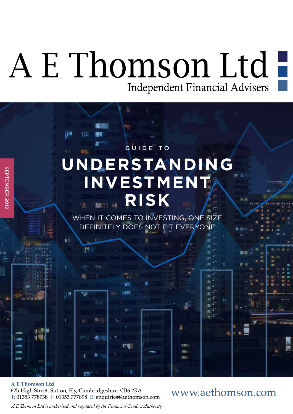# A E Thomson Ltd-Independent Financial Advisers



### **A E Thomson Ltd**

62b High Street, Sutton, Ely, Cambridgeshire, CB6 2RA T: 01353 778738 F: 01353 777898 E: enquiries@aethomson.com www.aethomson.com

A E Thomson Ltd is authorised and regulated by the Financial Conduct Authority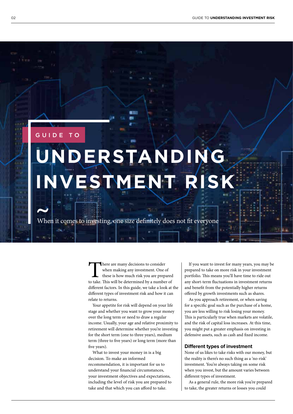### GUIDE TO

# **UNDERSTANDING INVESTMENT RISK**

When it comes to investing, one size definitely does not fit everyone

There are many decisions to consider<br>when making any investment. One of<br>these is how much risk you are prepared<br>to take. This will be determined by a number of when making any investment. One of these is how much risk you are prepared diferent factors. In this guide, we take a look at the diferent types of investment risk and how it can relate to returns.

Your appetite for risk will depend on your life stage and whether you want to grow your money over the long term or need to draw a regular income. Usually, your age and relative proximity to retirement will determine whether you're investing for the short term (one to three years), medium term (three to fve years) or long term (more than five years).

What to invest your money in is a big decision. To make an informed recommendation, it is important for us to understand your fnancial circumstances, your investment objectives and expectations, including the level of risk you are prepared to take and that which you can aford to take.

If you want to invest for many years, you may be prepared to take on more risk in your investment portfolio. This means you'll have time to ride out any short-term fuctuations in investment returns and beneft from the potentially higher returns ofered by growth investments such as shares.

As you approach retirement, or when saving for a specifc goal such as the purchase of a home, you are less willing to risk losing your money. This is particularly true when markets are volatile, and the risk of capital loss increases. At this time, you might put a greater emphasis on investing in defensive assets, such as cash and fxed income.

#### **Diferent types of investment**

None of us likes to take risks with our money, but the reality is there's no such thing as a 'no-risk' investment. You're always taking on some risk when you invest, but the amount varies between diferent types of investment.

As a general rule, the more risk you're prepared to take, the greater returns or losses you could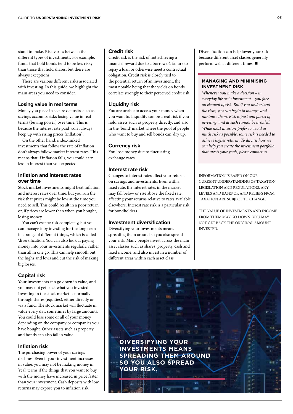stand to make. Risk varies between the diferent types of investments. For example, funds that hold bonds tend to be less risky than those that hold shares, but there are always exceptions.

There are various different risks associated with investing. In this guide, we highlight the main areas you need to consider.

#### **Losing value in real terms**

Money you place in secure deposits such as savings accounts risks losing value in real terms (buying power) over time. This is because the interest rate paid won't always keep up with rising prices (infation).

On the other hand, index-linked investments that follow the rate of infation don't always follow market interest rates. This means that if infation falls, you could earn less in interest than you expected.

#### **Inflation and interest rates over time**

Stock market investments might beat infation and interest rates over time, but you run the risk that prices might be low at the time you need to sell. This could result in a poor return or, if prices are lower than when you bought, losing money.

You can't escape risk completely, but you can manage it by investing for the long term in a range of diferent things, which is called 'diversifcation'. You can also look at paying money into your investments regularly, rather than all in one go. This can help smooth out the highs and lows and cut the risk of making big losses.

#### **Capital risk**

Your investments can go down in value, and you may not get back what you invested. Investing in the stock market is normally through shares (equities), either directly or via a fund. The stock market will fluctuate in value every day, sometimes by large amounts. You could lose some or all of your money depending on the company or companies you have bought. Other assets such as property and bonds can also fall in value.

#### **Inflation risk**

The purchasing power of your savings declines. Even if your investment increases in value, you may not be making money in 'real' terms if the things that you want to buy with the money have increased in price faster than your investment. Cash deposits with low returns may expose you to infation risk.

#### **Credit risk**

Credit risk is the risk of not achieving a fnancial reward due to a borrower's failure to repay a loan or otherwise meet a contractual obligation. Credit risk is closely tied to the potential return of an investment, the most notable being that the yields on bonds correlate strongly to their perceived credit risk.

#### **Liquidity risk**

You are unable to access your money when you want to. Liquidity can be a real risk if you hold assets such as property directly, and also in the 'bond' market where the pool of people who want to buy and sell bonds can 'dry up'.

#### **Currency risk**

You lose money due to fuctuating exchange rates.

#### **Interest rate risk**

Changes to interest rates afect your returns on savings and investments. Even with a fxed rate, the interest rates in the market may fall below or rise above the fxed rate, afecting your returns relative to rates available elsewhere. Interest rate risk is a particular risk for bondholders.

#### **Investment diversification**

Diversifying your investments means spreading them around so you also spread your risk. Many people invest across the main asset classes such as shares, property, cash and fxed income, and also invest in a number of diferent areas within each asset class.

Diversifcation can help lower your risk because diferent asset classes generally perform well at different times.  $\blacksquare$ 

#### **MANAGING AND MINIMISING INVESTMENT RISK**

*Whenever you make a decision – in everyday life or in investment – you face an element of risk. But if you understand the risks, you can begin to manage and minimise them. Risk is part and parcel of investing, and as such cannot be avoided. While most investors prefer to avoid as much risk as possible, some risk is needed to achieve higher returns. To discuss how we can help you create the investment portfolio that meets your goals, please contact us.*

INFORMATION IS BASED ON OUR CURRENT UNDERSTANDING OF TAXATION LEGISLATION AND REGULATIONS. ANY LEVELS AND BASES OF, AND RELIEFS FROM, TAXATION ARE SUBJECT TO CHANGE.

THE VALUE OF INVESTMENTS AND INCOME FROM THEM MAY GO DOWN. YOU MAY NOT GET BACK THE ORIGINAL AMOUNT INVESTED.